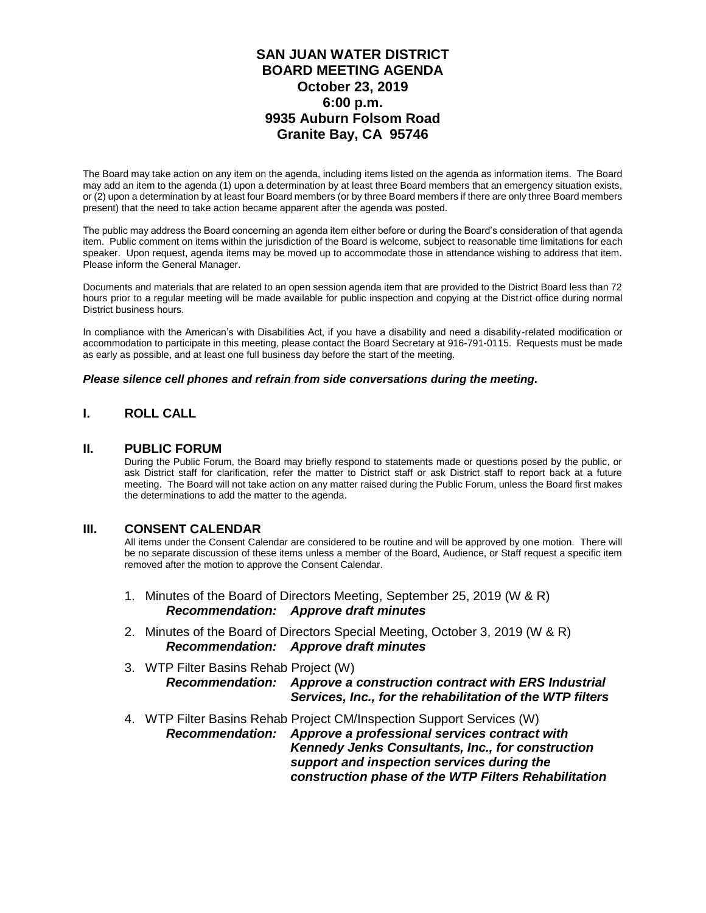### **SAN JUAN WATER DISTRICT BOARD MEETING AGENDA October 23, 2019 6:00 p.m. 9935 Auburn Folsom Road Granite Bay, CA 95746**

The Board may take action on any item on the agenda, including items listed on the agenda as information items. The Board may add an item to the agenda (1) upon a determination by at least three Board members that an emergency situation exists, or (2) upon a determination by at least four Board members (or by three Board members if there are only three Board members present) that the need to take action became apparent after the agenda was posted.

The public may address the Board concerning an agenda item either before or during the Board's consideration of that agenda item. Public comment on items within the jurisdiction of the Board is welcome, subject to reasonable time limitations for each speaker. Upon request, agenda items may be moved up to accommodate those in attendance wishing to address that item. Please inform the General Manager.

Documents and materials that are related to an open session agenda item that are provided to the District Board less than 72 hours prior to a regular meeting will be made available for public inspection and copying at the District office during normal District business hours.

In compliance with the American's with Disabilities Act, if you have a disability and need a disability-related modification or accommodation to participate in this meeting, please contact the Board Secretary at 916-791-0115. Requests must be made as early as possible, and at least one full business day before the start of the meeting.

#### *Please silence cell phones and refrain from side conversations during the meeting.*

### **I. ROLL CALL**

#### **II. PUBLIC FORUM**

During the Public Forum, the Board may briefly respond to statements made or questions posed by the public, or ask District staff for clarification, refer the matter to District staff or ask District staff to report back at a future meeting. The Board will not take action on any matter raised during the Public Forum, unless the Board first makes the determinations to add the matter to the agenda.

#### **III. CONSENT CALENDAR**

All items under the Consent Calendar are considered to be routine and will be approved by one motion. There will be no separate discussion of these items unless a member of the Board, Audience, or Staff request a specific item removed after the motion to approve the Consent Calendar.

- 1. Minutes of the Board of Directors Meeting, September 25, 2019 (W & R) *Recommendation: Approve draft minutes*
- 2. Minutes of the Board of Directors Special Meeting, October 3, 2019 (W & R) *Recommendation: Approve draft minutes*
- 3. WTP Filter Basins Rehab Project (W) *Recommendation: Approve a construction contract with ERS Industrial Services, Inc., for the rehabilitation of the WTP filters*
- 4. WTP Filter Basins Rehab Project CM/Inspection Support Services (W) *Recommendation: Approve a professional services contract with Kennedy Jenks Consultants, Inc., for construction support and inspection services during the construction phase of the WTP Filters Rehabilitation*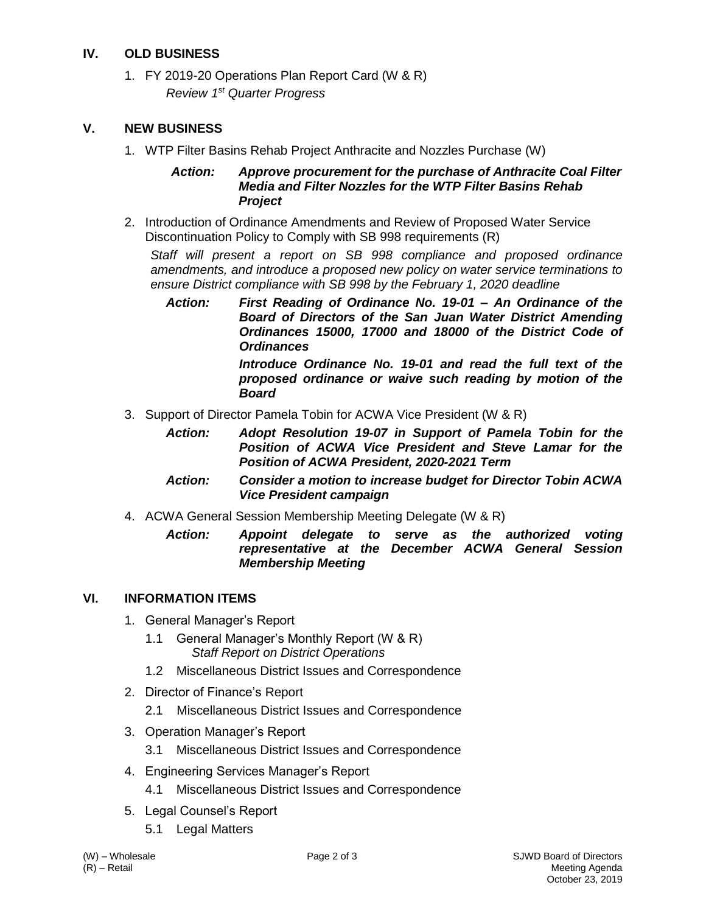## **IV. OLD BUSINESS**

1. FY 2019-20 Operations Plan Report Card (W & R) *Review 1st Quarter Progress*

### **V. NEW BUSINESS**

1. WTP Filter Basins Rehab Project Anthracite and Nozzles Purchase (W)

### *Action: Approve procurement for the purchase of Anthracite Coal Filter Media and Filter Nozzles for the WTP Filter Basins Rehab Project*

2. Introduction of Ordinance Amendments and Review of Proposed Water Service Discontinuation Policy to Comply with SB 998 requirements (R)

*Staff will present a report on SB 998 compliance and proposed ordinance amendments, and introduce a proposed new policy on water service terminations to ensure District compliance with SB 998 by the February 1, 2020 deadline*

*Action: First Reading of Ordinance No. 19-01 – An Ordinance of the Board of Directors of the San Juan Water District Amending Ordinances 15000, 17000 and 18000 of the District Code of Ordinances Introduce Ordinance No. 19-01 and read the full text of the* 

*proposed ordinance or waive such reading by motion of the Board*

- 3. Support of Director Pamela Tobin for ACWA Vice President (W & R)
	- *Action: Adopt Resolution 19-07 in Support of Pamela Tobin for the Position of ACWA Vice President and Steve Lamar for the Position of ACWA President, 2020-2021 Term*
	- *Action: Consider a motion to increase budget for Director Tobin ACWA Vice President campaign*
- 4. ACWA General Session Membership Meeting Delegate (W & R)
	- *Action: Appoint delegate to serve as the authorized voting representative at the December ACWA General Session Membership Meeting*

# **VI. INFORMATION ITEMS**

- 1. General Manager's Report
	- 1.1 General Manager's Monthly Report (W & R) *Staff Report on District Operations*
	- 1.2 Miscellaneous District Issues and Correspondence
- 2. Director of Finance's Report
	- 2.1 Miscellaneous District Issues and Correspondence
- 3. Operation Manager's Report
	- 3.1 Miscellaneous District Issues and Correspondence
- 4. Engineering Services Manager's Report
	- 4.1 Miscellaneous District Issues and Correspondence
- 5. Legal Counsel's Report
	- 5.1 Legal Matters